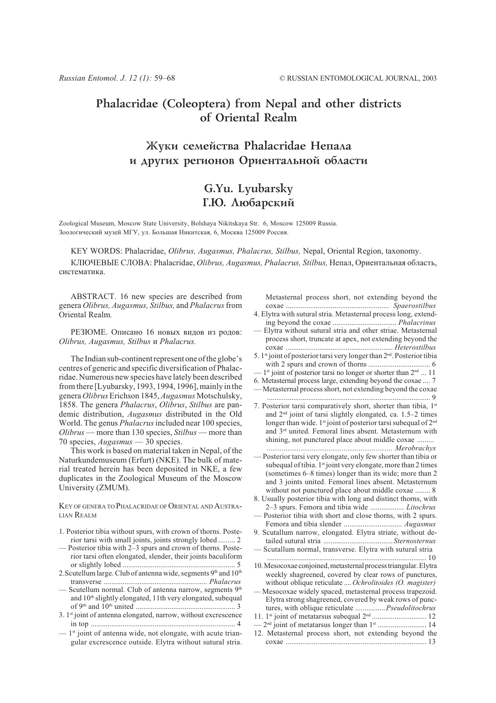# Phalacridae (Coleoptera) from Nepal and other districts of Oriental Realm

# Жуки семейства Phalacridae Непала и других регионов Ориентальной области

# G.Yu. Lyubarsky Г.Ю. Любарский

Zoological Museum, Moscow State University, Bolshaya Nikitskaya Str. 6, Moscow 125009 Russia. Зоологический музей МГУ, ул. Большая Никитская, 6, Москва 125009 Россия.

KEY WORDS: Phalacridae, Olibrus, Augasmus, Phalacrus, Stilbus, Nepal, Oriental Region, taxonomy.

КЛЮЧЕВЫЕ СЛОВА: Phalacridae, Olibrus, Augasmus, Phalacrus, Stilbus, Непал, Ориентальная область, систематика.

ABSTRACT. 16 new species are described from genera Olibrus, Augasmus, Stilbus, and Phalacrus from Oriental Realm.

РЕЗЮМЕ. Описано 16 новых видов из родов: Olibrus, Augasmus, Stilbus u Phalacrus.

The Indian sub-continent represent one of the globe's centres of generic and specific diversification of Phalacridae. Numerous new species have lately been described from there [Lyubarsky, 1993, 1994, 1996], mainly in the genera Olibrus Erichson 1845, Augasmus Motschulsky, 1858. The genera Phalacrus, Olibrus, Stilbus are pandemic distribution, Augasmus distributed in the Old World. The genus *Phalacrus* included near 100 species, Olibrus — more than 130 species, Stilbus — more than 70 species,  $Augustmus - 30$  species.

This work is based on material taken in Nepal, of the Naturkundemuseum (Erfurt) (NKE). The bulk of material treated herein has been deposited in NKE, a few duplicates in the Zoological Museum of the Moscow University (ZMUM).

KEY OF GENERA TO PHALACRIDAE OF ORIENTAL AND AUSTRA-LIAN REALM

- 1. Posterior tibia without spurs, with crown of thorns. Posterior tarsi with small joints, joints strongly lobed ......... 2
- Posterior tibia with 2-3 spurs and crown of thorns. Posterior tarsi often elongated, slender, their joints baculiform
- 2. Scutellum large. Club of antenna wide, segments 9th and 10th
- Scutellum normal. Club of antenna narrow, segments 9th and 10<sup>th</sup> slightly elongated, 11th very elongated, subequal
- 3. 1st joint of antenna elongated, narrow, without excrescence
- $-1$ <sup>st</sup> joint of antenna wide, not elongate, with acute triangular excrescence outside. Elytra without sutural stria.

Metasternal process short, not extending beyond the 4. Elytra with sutural stria. Metasternal process long, extend-

- Elytra without sutural stria and other striae. Metasternal process short, truncate at apex, not extending beyond the
- 5. 1<sup>st</sup> joint of posterior tarsi very longer than 2<sup>nd</sup>. Posterior tibia
- $1<sup>st</sup>$  joint of posterior tarsi no longer or shorter than  $2<sup>nd</sup>$  ... 11
- 6. Metasternal process large, extending beyond the coxae .... 7
- Metasternal process short, not extending beyond the coxae
- 7. Posterior tarsi comparatively short, shorter than tibia, 1st and 2<sup>nd</sup> joint of tarsi slightly elongated, ca. 1.5-2 times longer than wide. 1st joint of posterior tarsi subequal of 2<sup>nd</sup> and 3<sup>rd</sup> united. Femoral lines absent. Metasternum with shining, not punctured place about middle coxae .........
- Posterior tarsi very elongate, only few shorter than tibia or subequal of tibia. 1<sup>st</sup> joint very elongate, more than 2 times (sometimes 6–8 times) longer than its wide; more than 2 and 3 joints united. Femoral lines absent. Metasternum without not punctured place about middle coxae ........ 8
- 8. Usually posterior tibia with long and distinct thorns, with 2-3 spurs. Femora and tibia wide .................. Litochrus
- Posterior tibia with short and close thorns, with 2 spurs.
- 9. Scutallum narrow, elongated. Elytra striate, without de-Scutallum normal, transverse. Elytra with sutural stria
	-
- 10. Mesocoxae conjoined, metasternal process triangular. Elytra weekly shagreened, covered by clear rows of punctures, without oblique reticulate .... Ochrolitoides (O. magister)
- Mesocoxae widely spaced, metasternal process trapezoid. Elytra strong shagreened, covered by weak rows of punctures, with oblique reticulate .................Pseudolitochrus
- 
- 12. Metasternal process short, not extending beyond the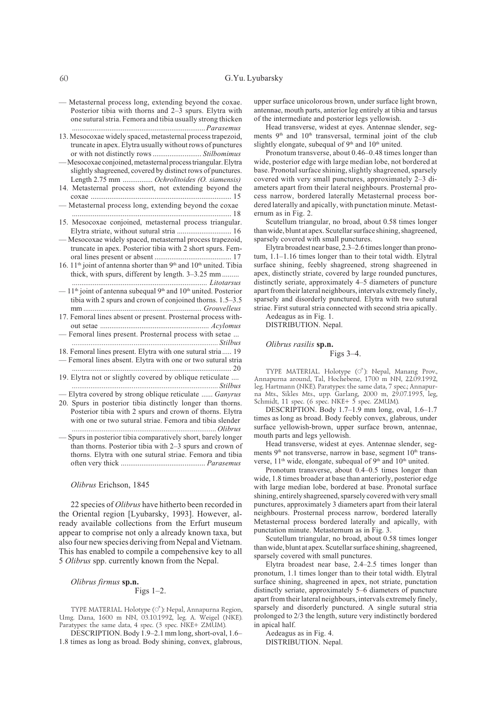- Metasternal process long, extending beyond the coxae. Posterior tibia with thorns and 2-3 spurs. Elytra with one sutural stria. Femora and tibia usually strong thicken
- 13. Mesocoxae widely spaced, metasternal process trapezoid, truncate in apex. Elytra usually without rows of punctures -Mesocoxae conjoined, metasternal process triangular. Elytra
- slightly shagreened, covered by distinct rows of punctures. Length 2.75 mm ................ Ochrolitoides (O. siamensis)
- 14. Metasternal process short, not extending beyond the - Metasternal process long, extending beyond the coxae

15. Mesocoxae conjoined, metasternal process triangular. Elytra striate, without sutural stria .................................. 16

- Mesocoxae widely spaced, metasternal process trapezoid, truncate in apex. Posterior tibia with 2 short spurs. Fem-
- 16. 11<sup>th</sup> joint of antenna shorter than 9<sup>th</sup> and 10<sup>th</sup> united. Tibia thick, with spurs, different by length. 3–3.25 mm ........
- $-11<sup>th</sup>$  joint of antenna subequal 9<sup>th</sup> and 10<sup>th</sup> united. Posterior tibia with 2 spurs and crown of conjoined thorns. 1.5–3.5
- 17. Femoral lines absent or present. Prosternal process with-
- Femoral lines present. Prosternal process with setae ...
- 18. Femoral lines present. Elytra with one sutural stria..... 19
- Femoral lines absent. Elytra with one or two sutural stria
- 19. Elytra not or slightly covered by oblique reticulate ....

- Elytra covered by strong oblique reticulate ...... Ganyrus

- 20. Spurs in posterior tibia distinctly longer than thorns. Posterior tibia with 2 spurs and crown of thorns. Elytra with one or two sutural striae. Femora and tibia slender
- Spurs in posterior tibia comparatively short, barely longer than thorns. Posterior tibia with 2-3 spurs and crown of thorns. Elvtra with one sutural striae. Femora and tibia

# Olibrus Erichson, 1845

22 species of Olibrus have hitherto been recorded in the Oriental region [Lyubarsky, 1993]. However, already available collections from the Erfurt museum appear to comprise not only a already known taxa, but also four new species deriving from Nepal and Vietnam. This has enabled to compile a compehensive key to all 5 Olibrus spp. currently known from the Nepal.

# Olibrus firmus sp.n.

# Figs  $1-2$ .

TYPE MATERIAL. Holotype (O'): Nepal, Annapurna Region, Umg. Dana, 1600 m NN, 03.10.1992, leg. A. Weigel (NKE). Paratypes: the same data, 4 spec. (3 spec. NKE+ ZMUM).

DESCRIPTION. Body 1.9-2.1 mm long, short-oval, 1.6-1.8 times as long as broad. Body shining, convex, glabrous,

upper surface unicolorous brown, under surface light brown, antennae, mouth parts, anterior leg entirely at tibia and tarsus of the intermediate and posterior legs yellowish.

Head transverse, widest at eyes. Antennae slender, segments 9<sup>th</sup> and 10<sup>th</sup> transversal, terminal joint of the club slightly elongate, subequal of 9th and 10th united.

Pronotum transverse, about 0.46–0.48 times longer than wide, posterior edge with large median lobe, not bordered at base. Pronotal surface shining, slightly shagreened, sparsely covered with very small punctures, approximately 2-3 diameters apart from their lateral neighbours. Prosternal process narrow, bordered laterally Metasternal process bordered laterally and apically, with punctation minute. Metasternum as in Fig. 2.

Scutellum triangular, no broad, about 0.58 times longer than wide, blunt at apex. Scutellar surface shining, shagreened, sparsely covered with small punctures.

Elytra broadest near base, 2.3–2.6 times longer than pronotum, 1.1-1.16 times longer than to their total width. Elytral surface shining, feebly shagreened, strong shagreened in apex, distinctly striate, covered by large rounded punctures, distinctly seriate, approximately 4-5 diameters of puncture apart from their lateral neighbours, intervals extremely finely, sparsely and disorderly punctured. Elytra with two sutural striae. First sutural stria connected with second stria apically.

Aedeagus as in Fig. 1.

DISTRIBUTION. Nepal.

# Olibrus rasilis sp.n.

Figs  $3-4$ .

TYPE MATERIAL. Holotype (O'): Nepal, Manang Prov., Annapurna around, Tal, Hochebene, 1700 m NN, 22.09.1992, leg. Hartmann (NKE). Paratypes: the same data, 7 spec.; Annapurna Mts., Sikles Mts., upp. Garlang, 2000 m, 29.07.1995, leg,<br>Schmidt, 11 spec. (6 spec. NKE+ 5 spec. ZMUM).

DESCRIPTION. Body  $1.7-1.9$  mm long, oval,  $1.6-1.7$ times as long as broad. Body feebly convex, glabrous, under surface yellowish-brown, upper surface brown, antennae, mouth parts and legs yellowish.

Head transverse, widest at eyes. Antennae slender, segments 9<sup>th</sup> not transverse, narrow in base, segment 10<sup>th</sup> transverse, 11<sup>th</sup> wide, elongate, subequal of 9<sup>th</sup> and 10<sup>th</sup> united.

Pronotum transverse, about 0.4-0.5 times longer than wide, 1.8 times broader at base than anteriorly, posterior edge with large median lobe, bordered at base. Pronotal surface shining, entirely shagreened, sparsely covered with very small punctures, approximately 3 diameters apart from their lateral neighbours. Prosternal process narrow, bordered laterally Metasternal process bordered laterally and apically, with punctation minute. Metasternum as in Fig. 3.

Scutellum triangular, no broad, about 0.58 times longer than wide, blunt at apex. Scutellar surface shining, shagreened, sparsely covered with small punctures.

Elytra broadest near base, 2.4–2.5 times longer than pronotum, 1.1 times longer than to their total width. Elytral surface shining, shagreened in apex, not striate, punctation distinctly seriate, approximately 5–6 diameters of puncture apart from their lateral neighbours, intervals extremely finely, sparsely and disorderly punctured. A single sutural stria prolonged to 2/3 the length, suture very indistinctly bordered in apical half.

Aedeagus as in Fig. 4. DISTRIBUTION. Nepal.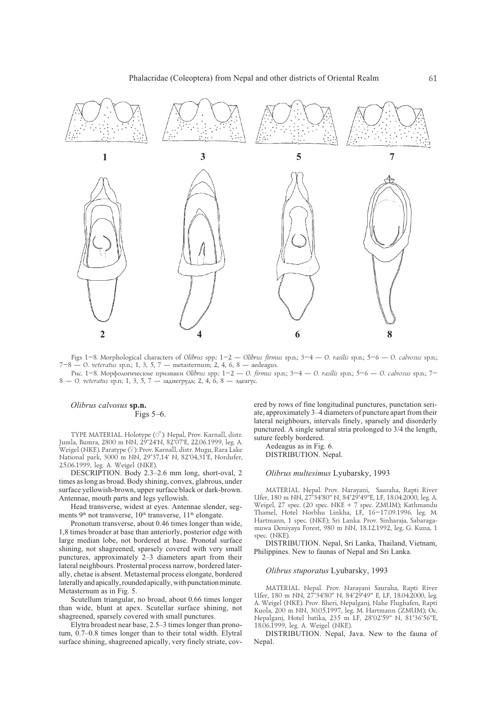

Figs 1-8. Morphological characters of Olibrus spp: 1-2 - Olibrus firmus sp.n.; 3-4 - O. rasilis sp.n.; 5-6 - O. calvosus sp.n.; 7-8 - O. veteratus sp.n.; 1, 3, 5, 7 - metasternum; 2, 4, 6, 8 - aedeagus.

Рис. 1-8. Морфологические признаки Olibrus spp.: 1-2 - О. firmus sp.n.; 3-4 - О. rasilis sp.n.; 5-6 - О. calvosus sp.n.; 7-8 — О. veteratus sp.n; 1, 3, 5, 7 — заднегрудь; 2, 4, 6, 8 — эдеагус.

# Olibrus calvosus sp.n.

# Figs  $5-6$ .

TYPE MATERIAL. Holotype (O'): Nepal, Prov. Karnall, distr. Jumla, Bumra, 2800 m NN, 29°24'N, 82°07'E, 22.06.1999, leg. A. .<br>Weigel (NKE). Paratype (♀): Prov. Karnall, distr. Mugu, Rara Lake National park, 3000 m NN, 29°37,14' N, 82°04,31'E, Nordufer, 25.06.1999, leg. A. Weigel (NKE).

DESCRIPTION. Body 2.3-2.6 mm long, short-oval, 2 times as long as broad. Body shining, convex, glabrous, under surface yellowish-brown, upper surface black or dark-brown. Antennae, mouth parts and legs yellowish.

Head transverse, widest at eyes. Antennae slender, segments 9<sup>th</sup> not transverse, 10<sup>th</sup> transverse, 11<sup>th</sup> elongate.

Pronotum transverse, about 0.46 times longer than wide, 1,8 times broader at base than anteriorly, posterior edge with large median lobe, not bordered at base. Pronotal surface shining, not shagreened, sparsely covered with very small punctures, approximately 2-3 diameters apart from their lateral neighbours. Prosternal process narrow, bordered laterally, chetae is absent. Metasternal process elongate, bordered laterally and apically, rounded apically, with punctation minute. Metasternum as in Fig. 5.

Scutellum triangular, no broad, about 0.66 times longer than wide, blunt at apex. Scutellar surface shining, not shagreened, sparsely covered with small punctures.

Elytra broadest near base, 2.5–3 times longer than pronotum, 0.7-0.8 times longer than to their total width. Elytral surface shining, shagreened apically, very finely striate, cov-

ered by rows of fine longitudinal punctures, punctation seriate, approximately 3–4 diameters of puncture apart from their lateral neighbours, intervals finely, sparsely and disorderly punctured. A single sutural stria prolonged to 3/4 the length, suture feebly bordered.

Aedeagus as in Fig. 6. DISTRIBUTION. Nepal.

#### Olibrus multesimus Lyubarsky, 1993

MATERIAL. Nepal. Prov. Narayani, Sauraha, Rapti River Ufer, 180 m NN, 27°34'80" N, 84°29'49"E, LF, 18.04.2000, leg. A. Weigel, 27 spec. (20 spec. NKE + 7 spec. ZMUM); Kathmandu Thamel, Hotel Norbhu Linkha, LF, 16-17.09.1996. leg. M. Hartmann, 1 spec. (NKE); Sri Lanka. Prov. Sinharaja, Sabaragamuwa Deniyaya Forest, 980 m NN, 18.12.1992, leg. G. Kuna, 1 spec. (NKE).

DISTRIBUTION. Nepal, Sri Lanka, Thailand, Vietnam, Philippines. New to faunas of Nepal and Sri Lanka.

## Olibrus stuporatus Lyubarsky, 1993

MATERIAL. Nepal. Prov. Narayani Sauraha, Rapti River Ufer, 180 m NN, 27°34'80" N, 84°29'49" E, LF, 18.04.2000, leg. A. Weigel (NKE). Prov. Bheri, Nepalganj, Nahe Flughafen, Rapti Kuola, 200 m NN, 30.05.1997, leg. M. Hartmann (ZMUM); Oc. Nepalganj, Hotel batika, 235 m LF, 28°02'59" N, 81°36'56"E, 18.06.1999, leg. A. Weigel (NKE).

DISTRIBUTION. Nepal, Java. New to the fauna of Nepal.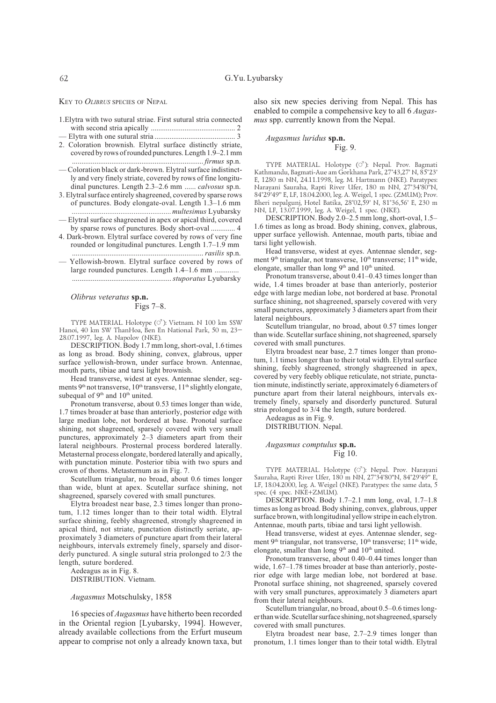KEY TO OLIBRUS SPECIES OF NEPAL

| 1. Elytra with two sutural striae. First sutural stria connected |  |  |
|------------------------------------------------------------------|--|--|
|                                                                  |  |  |

- 2. Coloration brownish. Elytral surface distinctly striate, covered by rows of rounded punctures. Length 1.9-2.1 mm
- Coloration black or dark-brown. Elytral surface indistinctly and very finely striate, covered by rows of fine longitudinal punctures. Length 2.3-2.6 mm ...... calvosus sp.n.
- 3. Elytral surface entirely shagreened, covered by sparse rows of punctures. Body elongate-oval. Length 1.3-1.6 mm multesimus Lyubarsky
- -Elytral surface shagreened in apex or apical third, covered by sparse rows of punctures. Body short-oval ............. 4
- 4. Dark-brown. Elytral surface covered by rows of very fine rounded or longitudinal punctures. Length 1.7–1.9 mm
- Yellowish-brown. Elytral surface covered by rows of large rounded punctures. Length 1.4-1.6 mm .............

Olibrus veteratus sp.n. Figs  $7-8$ .

TYPE MATERIAL. Holotype (o<sup>7</sup>): Vietnam. N 100 km SSW Hanoi, 40 km SW ThanHoa, Ben En National Park, 50 m, 23-28.07.1997, leg. A. Napolov (NKE).

DESCRIPTION. Body 1.7 mm long, short-oval, 1.6 times as long as broad. Body shining, convex, glabrous, upper surface yellowish-brown, under surface brown. Antennae, mouth parts, tibiae and tarsi light brownish.

Head transverse, widest at eyes. Antennae slender, segments 9<sup>th</sup> not transverse, 10<sup>th</sup> transverse, 11<sup>th</sup> slightly elongate, subequal of 9<sup>th</sup> and 10<sup>th</sup> united.

Pronotum transverse, about 0.53 times longer than wide, 1.7 times broader at base than anteriorly, posterior edge with large median lobe, not bordered at base. Pronotal surface shining, not shagreened, sparsely covered with very small punctures, approximately 2-3 diameters apart from their lateral neighbours. Prosternal process bordered laterally. Metasternal process elongate, bordered laterally and apically, with punctation minute. Posterior tibia with two spurs and crown of thorns. Metasternum as in Fig. 7.

Scutellum triangular, no broad, about 0.6 times longer than wide, blunt at apex. Scutellar surface shining, not shagreened, sparsely covered with small punctures.

Elytra broadest near base, 2.3 times longer than pronotum, 1.12 times longer than to their total width. Elytral surface shining, feebly shagreened, strongly shagreened in apical third, not striate, punctation distinctly seriate, approximately 3 diameters of puncture apart from their lateral neighbours, intervals extremely finely, sparsely and disorderly punctured. A single sutural stria prolonged to  $2/3$  the length, suture bordered.

Aedeagus as in Fig. 8. DISTRIBUTION. Vietnam.

#### Augasmus Motschulsky, 1858

16 species of *Augasmus* have hitherto been recorded in the Oriental region [Lyubarsky, 1994]. However, already available collections from the Erfurt museum appear to comprise not only a already known taxa, but also six new species deriving from Nepal. This has enabled to compile a compehensive key to all 6 *Augas*mus spp. currently known from the Nepal.

### Augasmus luridus sp.n. Fig. 9.

TYPE MATERIAL. Holotype (O'): Nepal. Prov. Bagmati<br>Kathmandu, Bagmati-Aue am Gorkhana Park, 27°43,27' N, 85°23' E, 1280 m NN, 24.11.1998, leg. M. Hartmann (NKE). Paratypes: Narayani Sauraha, Rapti River Ufer, 180 m NN, 27°34'80"N, 84°29'49" E, LF, 18.04.2000, leg. A. Weigel, 1 spec. (ZMUM); Prov. Bheri nepalgunj, Hotel Batika, 28°02,59' N, 81°36,56' E, 230 m NN, LF, 13.07.1999, leg. A. Weigel, 1 spec. (NKE).

DESCRIPTION. Body 2.0–2.5 mm long, short-oval, 1.5– 1.6 times as long as broad. Body shining, convex, glabrous, upper surface yellowish. Antennae, mouth parts, tibiae and tarsi light yellowish.

Head transverse, widest at eyes. Antennae slender, segment 9<sup>th</sup> triangular, not transverse, 10<sup>th</sup> transverse; 11<sup>th</sup> wide, elongate, smaller than long 9<sup>th</sup> and 10<sup>th</sup> united.

Pronotum transverse, about 0.41–0.43 times longer than wide, 1.4 times broader at base than anteriorly, posterior edge with large median lobe, not bordered at base. Pronotal surface shining, not shagreened, sparsely covered with very small punctures, approximately 3 diameters apart from their lateral neighbours.

Scutellum triangular, no broad, about 0.57 times longer than wide. Scutellar surface shining, not shagreened, sparsely covered with small punctures.

Elytra broadest near base, 2.7 times longer than pronotum, 1.1 times longer than to their total width. Elytral surface shining, feebly shagreened, strongly shagreened in apex, covered by very feebly oblique reticulate, not striate, punctation minute, indistinctly seriate, approximately 6 diameters of puncture apart from their lateral neighbours, intervals extremely finely, sparsely and disorderly punctured. Sutural stria prolonged to 3/4 the length, suture bordered.

Aedeagus as in Fig. 9.

DISTRIBUTION. Nepal.

Augasmus comptulus sp.n. Fig 10.

TYPE MATERIAL. Holotype (o<sup>3</sup>): Nepal. Prov. Narayani<br>Sauraha, Rapti River Ufer, 180 m NN, 27°34'80"N, 84°29'49" E, LF, 18.04.2000, leg. A. Weigel (NKE). Paratypes: the same data, 5 spec. (4 spec. NKE+ZMUM).

DESCRIPTION. Body 1.7-2.1 mm long, oval, 1.7-1.8 times as long as broad. Body shining, convex, glabrous, upper surface brown, with longitudinal yellow stripe in each elytron. Antennae, mouth parts, tibiae and tarsi light yellowish.

Head transverse, widest at eyes. Antennae slender, segment 9<sup>th</sup> triangular, not transverse, 10<sup>th</sup> transverse; 11<sup>th</sup> wide, elongate, smaller than long 9<sup>th</sup> and 10<sup>th</sup> united.

Pronotum transverse, about 0.40–0.44 times longer than wide,  $1.67-1.78$  times broader at base than anteriorly, posterior edge with large median lobe, not bordered at base. Pronotal surface shining, not shagreened, sparsely covered with very small punctures, approximately 3 diameters apart from their lateral neighbours.

Scutellum triangular, no broad, about 0.5-0.6 times longer than wide. Scutellar surface shining, not shagreened, sparsely covered with small punctures.

Elytra broadest near base, 2.7-2.9 times longer than pronotum, 1.1 times longer than to their total width. Elytral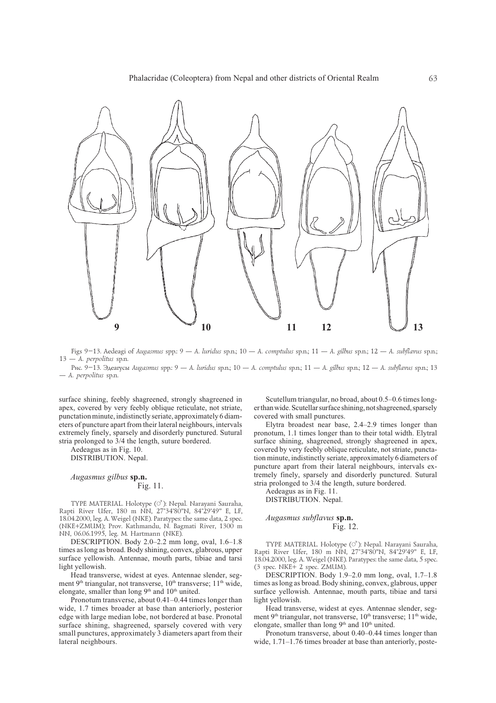

Figs 9-13. Aedeagi of Augasmus spp.: 9 - A. luridus sp.n.; 10 - A. comptulus sp.n.; 11 - A. gilbus sp.n.; 12 - A. subflavus sp.n.; 13 - A. perpolitus sp.n.

Рис. 9-13. Эдеагусы Augasmus spp: 9 - A. luridus sp.n.; 10 - A. comptulus sp.n.; 11 - A. gilbus sp.n.; 12 - A. subflavus sp.n.; 13 - A. perpolitus sp.n.

surface shining, feebly shagreened, strongly shagreened in apex, covered by very feebly oblique reticulate, not striate. punctation minute, indistinctly seriate, approximately 6 diameters of puncture apart from their lateral neighbours, intervals extremely finely, sparsely and disorderly punctured. Sutural stria prolonged to 3/4 the length, suture bordered.

Aedeagus as in Fig. 10. DISTRIBUTION. Nepal.

## Augasmus gilbus sp.n. Fig. 11.

TYPE MATERIAL. Holotype (O'): Nepal. Narayani Sauraha, Rapti River Ufer, 180 m NN, 27°34'80"N, 84°29'49" E, LF, 18.04.2000, leg. A. Weigel (NKE). Paratypes: the same data, 2 spec. (NKE+ZMUM); Prov. Kathmandu, N. Bagmati River, 1300 m NN, 06.06.1995, leg. M. Hartmann (NKE).

DESCRIPTION. Body 2.0-2.2 mm long, oval, 1.6-1.8 times as long as broad. Body shining, convex, glabrous, upper surface yellowish. Antennae, mouth parts, tibiae and tarsi light yellowish.

Head transverse, widest at eyes. Antennae slender, segment 9<sup>th</sup> triangular, not transverse, 10<sup>th</sup> transverse; 11<sup>th</sup> wide, elongate, smaller than long 9<sup>th</sup> and 10<sup>th</sup> united.

Pronotum transverse, about 0.41–0.44 times longer than wide, 1.7 times broader at base than anteriorly, posterior edge with large median lobe, not bordered at base. Pronotal surface shining, shagreened, sparsely covered with very small punctures, approximately 3 diameters apart from their lateral neighbours.

Scutellum triangular, no broad, about 0.5–0.6 times longer than wide. Scutellar surface shining, not shagreened, sparsely covered with small punctures.

Elytra broadest near base,  $2.4-2.9$  times longer than pronotum, 1.1 times longer than to their total width. Elytral surface shining, shagreened, strongly shagreened in apex, covered by very feebly oblique reticulate, not striate, punctation minute, indistinctly seriate, approximately 6 diameters of puncture apart from their lateral neighbours, intervals extremely finely, sparsely and disorderly punctured. Sutural stria prolonged to 3/4 the length, suture bordered.

Aedeagus as in Fig. 11. DISTRIBUTION. Nepal.

## Augasmus subflavus sp.n. Fig. 12.

TYPE MATERIAL. Holotype (O<sup>7</sup>): Nepal. Narayani Sauraha, Rapti River Ufer, 180 m NN, 27°34'80"N, 84°29'49" E. LF. 18.04.2000, leg. A. Weigel (NKE). Paratypes: the same data, 5 spec. (3 spec. NKE+ 2 spec. ZMUM).

DESCRIPTION. Body  $1.9-2.0$  mm long, oval,  $1.7-1.8$ times as long as broad. Body shining, convex, glabrous, upper surface yellowish. Antennae, mouth parts, tibiae and tarsi light vellowish.

Head transverse, widest at eyes. Antennae slender, segment 9<sup>th</sup> triangular, not transverse, 10<sup>th</sup> transverse; 11<sup>th</sup> wide, elongate, smaller than long 9<sup>th</sup> and 10<sup>th</sup> united.

Pronotum transverse, about 0.40-0.44 times longer than wide, 1.71-1.76 times broader at base than anteriorly, poste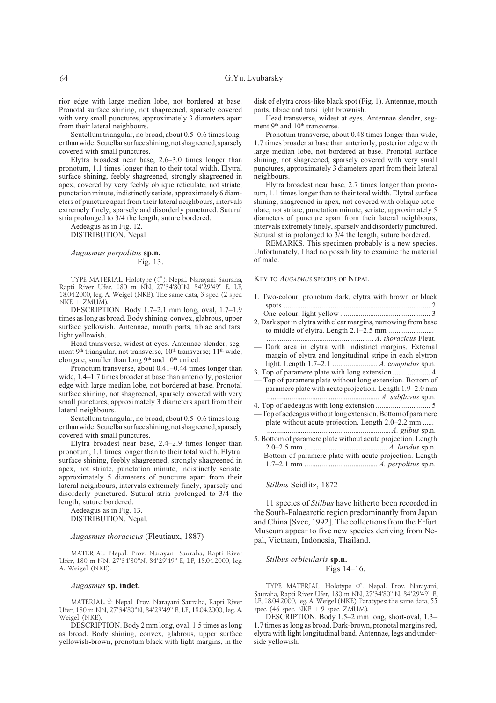rior edge with large median lobe, not bordered at base. Pronotal surface shining, not shagreened, sparsely covered with very small punctures, approximately 3 diameters apart from their lateral neighbours.

Scutellum triangular, no broad, about 0.5-0.6 times longer than wide. Scutellar surface shining, not shagreened, sparsely covered with small punctures.

Elytra broadest near base, 2.6-3.0 times longer than pronotum, 1.1 times longer than to their total width. Elytral surface shining, feebly shagreened, strongly shagreened in apex, covered by very feebly oblique reticulate, not striate, punctation minute, indistinctly seriate, approximately 6 diameters of puncture apart from their lateral neighbours, intervals extremely finely, sparsely and disorderly punctured. Sutural stria prolonged to  $3/4$  the length, suture bordered.

Aedeagus as in Fig. 12.

DISTRIBUTION. Nepal

### Augasmus perpolitus sp.n. Fig. 13.

TYPE MATERIAL. Holotype (O<sup>7</sup>): Nepal. Narayani Sauraha, Rapti River Ufer, 180 m NN, 27°34'80"N, 84°29'49" E, LF, 18.04.2000, leg. A. Weigel (NKE). The same data, 3 spec. (2 spec.  $NKE + ZMUM$ ).

DESCRIPTION. Body 1.7-2.1 mm long, oval, 1.7-1.9 times as long as broad. Body shining, convex, glabrous, upper surface yellowish. Antennae, mouth parts, tibiae and tarsi light vellowish.

Head transverse, widest at eyes. Antennae slender, segment 9<sup>th</sup> triangular, not transverse, 10<sup>th</sup> transverse; 11<sup>th</sup> wide, elongate, smaller than long 9<sup>th</sup> and 10<sup>th</sup> united.

Pronotum transverse, about 0.41-0.44 times longer than wide, 1.4–1.7 times broader at base than anteriorly, posterior edge with large median lobe, not bordered at base. Pronotal surface shining, not shagreened, sparsely covered with very small punctures, approximately 3 diameters apart from their lateral neighbours.

Scutellum triangular, no broad, about 0.5-0.6 times longer than wide. Scutellar surface shining, not shagreened, sparsely covered with small punctures.

Elytra broadest near base,  $2.4-2.9$  times longer than pronotum, 1.1 times longer than to their total width. Elytral surface shining, feebly shagreened, strongly shagreened in apex, not striate, punctation minute, indistinctly seriate, approximately 5 diameters of puncture apart from their lateral neighbours, intervals extremely finely, sparsely and disorderly punctured. Sutural stria prolonged to 3/4 the length, suture bordered.

Aedeagus as in Fig. 13. DISTRIBUTION. Nepal.

#### Augasmus thoracicus (Fleutiaux, 1887)

MATERIAL. Nepal. Prov. Narayani Sauraha, Rapti River Ufer, 180 m NN, 27°34'80"N, 84°29'49" E, LF, 18.04.2000, leg. A. Weigel (NKE).

#### Augasmus sp. indet.

MATERIAL. ?: Nepal. Prov. Narayani Sauraha, Rapti River Ufer, 180 m NN, 27°34'80"N, 84°29'49" E, LF, 18.04.2000, leg. A. Weigel (NKE).

DESCRIPTION. Body 2 mm long, oval, 1.5 times as long as broad. Body shining, convex, glabrous, upper surface yellowish-brown, pronotum black with light margins, in the disk of elytra cross-like black spot (Fig. 1). Antennae, mouth parts, tibiae and tarsi light brownish.

Head transverse, widest at eyes. Antennae slender, segment 9<sup>th</sup> and 10<sup>th</sup> transverse.

Pronotum transverse, about 0.48 times longer than wide, 1.7 times broader at base than anteriorly, posterior edge with large median lobe, not bordered at base. Pronotal surface shining, not shagreened, sparsely covered with very small punctures, approximately 3 diameters apart from their lateral neighbours.

Elytra broadest near base, 2.7 times longer than pronotum, 1.1 times longer than to their total width. Elytral surface shining, shagreened in apex, not covered with oblique reticulate, not striate, punctation minute, seriate, approximately 5 diameters of puncture apart from their lateral neighbours, intervals extremely finely, sparsely and disorderly punctured. Sutural stria prolonged to 3/4 the length, suture bordered.

REMARKS. This specimen probably is a new species. Unfortunately, I had no possibility to examine the material of male.

KEY TO AUGASMUS SPECIES OF NEPAL

- 1. Two-colour, pronotum dark, elytra with brown or black
- 
- 2. Dark spot in elytra with clear margins, narrowing from base
- Dark area in elytra with indistinct margins. External margin of elytra and longitudinal stripe in each elytron
- - Top of paramere plate without long extension. Bottom of paramere plate with acute projection. Length 1.9-2.0 mm
- 
- -Top of aedeagus without long extension. Bottom of paramere plate without acute projection. Length 2.0–2.2 mm ......
- 5. Bottom of paramere plate without acute projection. Length
- Bottom of paramere plate with acute projection. Length

### Stilbus Seidlitz, 1872

11 species of *Stilbus* have hitherto been recorded in the South-Palaearctic region predominantly from Japan and China [Svec, 1992]. The collections from the Erfurt Museum appear to five new species deriving from Nepal, Vietnam, Indonesia, Thailand.

Stilbus orbicularis sp.n. Figs  $14-16$ .

TYPE MATERIAL. Holotype  $\circlearrowleft$ . Nepal. Prov. Narayani, Sauraha, Rapti River Ufer, 180 m NN, 27°34'80" N, 84°29'49" E, LF, 18.04.2000, leg. A. Weigel (NKE). Paratypes: the same data, 55 spec.  $(46 \text{ spec. NKE} + 9 \text{ spec. ZMUM}).$ 

DESCRIPTION. Body 1.5-2 mm long, short-oval, 1.3-1.7 times as long as broad. Dark-brown, pronotal margins red, elytra with light longitudinal band. Antennae, legs and underside yellowish.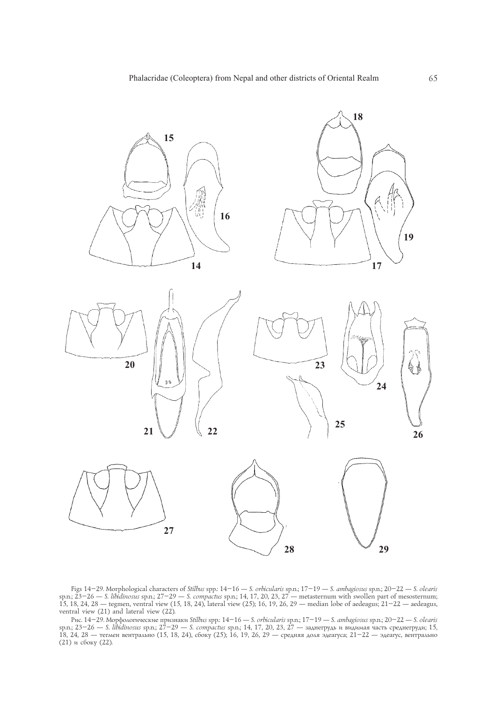

Figs 14-29. Morphological characters of *Stilbus* spp.  $14-16$  — *S. orbicularis* sp.n.;  $17-19$  — *S. ambagiosus* sp.n.;  $20-22$  — *S. olearis* sp.n.;  $23-26$  — *S. libidinosus* sp.n.;  $27-29$  — *S. compactus* sp.n.;  $14$ ventral view  $(21)$  and lateral view  $(22)$ .

Рис. 14–29. Морфологические признаки Stilbus spp.: 14–16 — S. orbicularis sp.n.; 17–19 — S. ambagiosus sp.n.; 20–22 — S. olearis sp.n.; 23–26 — S. libidinosus sp.n.; 27–29 — S. compactus sp.n.; 14, 17, 20, 23, 27 — заднег (21) и сбоку (22).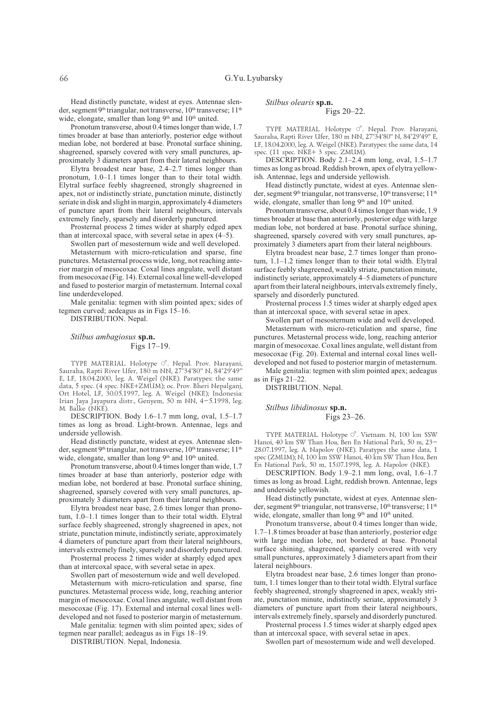Head distinctly punctate, widest at eyes. Antennae slender, segment 9<sup>th</sup> triangular, not transverse, 10<sup>th</sup> transverse; 11<sup>th</sup> wide, elongate, smaller than long 9<sup>th</sup> and 10<sup>th</sup> united.

Pronotum transverse, about 0.4 times longer than wide, 1.7 times broader at base than anteriorly, posterior edge without median lobe, not bordered at base. Pronotal surface shining, shagreened, sparsely covered with very small punctures, approximately 3 diameters apart from their lateral neighbours.

Elytra broadest near base,  $2.4-2.7$  times longer than pronotum, 1.0-1.1 times longer than to their total width. Elytral surface feebly shagreened, strongly shagreened in apex, not or indistinctly striate, punctation minute, distinctly seriate in disk and slight in margin, approximately 4 diameters of puncture apart from their lateral neighbours, intervals extremely finely, sparsely and disorderly punctured.

Prosternal process 2 times wider at sharply edged apex than at intercoxal space, with several setae in apex  $(4-5)$ .

Swollen part of mesosternum wide and well developed. Metasternum with micro-reticulation and sparse, fine punctures. Metasternal process wide, long, not reaching anterior margin of mesocoxae. Coxal lines angulate, well distant from mesocoxae (Fig. 14). External coxal line well-developed and fused to posterior margin of metasternum. Internal coxal line underdeveloped.

Male genitalia: tegmen with slim pointed apex; sides of tegmen curved; aedeagus as in Figs 15-16.

DISTRIBUTION. Nepal.

## Stilbus ambagiosus sp.n. Figs  $17-19$ .

## TYPE MATERIAL. Holotype O'. Nepal. Prov. Narayani, Sauraha, Rapti River Ufer, 180 m NN, 27°34'80" N, 84°29'49"<br>E, LF, 18.04.2000, leg. A. Weigel (NKE). Paratypes: the same data, 5 spec. (4 spec. NKE+ZMUM); oc. Prov. Bheri Nepalganj, Ort Hotel, LF, 30.05.1997, leg. A. Weigel (NKE); Indonesia: Irian Jaya Jayapura distr., Genyem, 50 m NN, 4-5.1998, leg. M. Balke (NKE)

DESCRIPTION. Body 1.6-1.7 mm long, oval, 1.5-1.7 times as long as broad. Light-brown. Antennae, legs and underside yellowish.

Head distinctly punctate, widest at eyes. Antennae slender, segment 9<sup>th</sup> triangular, not transverse, 10<sup>th</sup> transverse; 11<sup>th</sup> wide, elongate, smaller than long 9<sup>th</sup> and 10<sup>th</sup> united.

Pronotum transverse, about 0.4 times longer than wide, 1.7 times broader at base than anteriorly, posterior edge with median lobe, not bordered at base. Pronotal surface shining, shagreened, sparsely covered with very small punctures, approximately 3 diameters apart from their lateral neighbours.

Elytra broadest near base, 2.6 times longer than pronotum, 1.0-1.1 times longer than to their total width. Elytral surface feebly shagreened, strongly shagreened in apex, not striate, punctation minute, indistinctly seriate, approximately 4 diameters of puncture apart from their lateral neighbours, intervals extremely finely, sparsely and disorderly punctured.

Prosternal process 2 times wider at sharply edged apex than at intercoxal space, with several setae in apex.

Swollen part of mesosternum wide and well developed.

Metasternum with micro-reticulation and sparse, fine punctures. Metasternal process wide, long, reaching anterior margin of mesocoxae. Coxal lines angulate, well distant from mesocoxae (Fig. 17). External and internal coxal lines welldeveloped and not fused to posterior margin of metasternum.

Male genitalia: tegmen with slim pointed apex; sides of tegmen near parallel; aedeagus as in Figs 18-19.

DISTRIBUTION. Nepal, Indonesia.

### Stilbus olearis sp.n. Figs 20-22.

TYPE MATERIAL. Holotype  $\circlearrowleft$ . Nepal. Prov. Narayani, Sauraha, Rapti River Ufer, 180 m NN, 27°34'80" N, 84°29'49" E, LF, 18.04.2000, leg. A. Weigel (NKE). Paratypes: the same data, 14 spec. (11 spec. NKE+ 3 spec. ZMUM).

DESCRIPTION. Body 2.1-2.4 mm long, oval, 1.5-1.7 times as long as broad. Reddish brown, apex of elytra yellowish. Antennae, legs and underside yellowish.

Head distinctly punctate, widest at eyes. Antennae slender, segment 9<sup>th</sup> triangular, not transverse, 10<sup>th</sup> transverse; 11<sup>th</sup> wide, elongate, smaller than long 9<sup>th</sup> and 10<sup>th</sup> united.

Pronotum transverse, about 0.4 times longer than wide, 1.9 times broader at base than anteriorly, posterior edge with large median lobe, not bordered at base. Pronotal surface shining, shagreened, sparsely covered with very small punctures, approximately 3 diameters apart from their lateral neighbours.

Elytra broadest near base, 2.7 times longer than pronotum,  $1.1-1.2$  times longer than to their total width. Elytral surface feebly shagreened, weakly striate, punctation minute, indistinctly seriate, approximately 4-5 diameters of puncture apart from their lateral neighbours, intervals extremely finely, sparsely and disorderly punctured.

Prosternal process 1.5 times wider at sharply edged apex than at intercoxal space, with several setae in apex.

Swollen part of mesosternum wide and well developed. Metasternum with micro-reticulation and sparse, fine punctures. Metasternal process wide, long, reaching anterior margin of mesocoxae. Coxal lines angulate, well distant from mesocoxae (Fig. 20). External and internal coxal lines welldeveloped and not fused to posterior margin of metasternum.

Male genitalia: tegmen with slim pointed apex; aedeagus as in Figs  $21-22$ .

DISTRIBUTION. Nepal.

#### Stilbus libidinosus sp.n. Figs 23-26.

TYPE MATERIAL. Holotype  $\circlearrowleft$ . Vietnam. N, 100 km SSW Hanoi, 40 km SW Than Hoa, Ben En National Park, 50 m, 23-28.07.1997, leg. A. Napolov (NKE). Paratypes the same data, 1 spec (ZMUM), N, 100 km SSW Hanoi, 40 km SW Than Hoa, Ben En National Park, 50 m, 15.07.1998, leg. A. Napolov (NKE).

DESCRIPTION. Body 1.9-2.1 mm long, oval, 1.6-1.7 times as long as broad. Light, reddish brown. Antennae, legs and underside vellowish.

Head distinctly punctate, widest at eyes. Antennae slender, segment 9<sup>th</sup> triangular, not transverse, 10<sup>th</sup> transverse; 11<sup>th</sup> wide, elongate, smaller than long 9<sup>th</sup> and 10<sup>th</sup> united.

Pronotum transverse, about 0.4 times longer than wide, 1.7-1.8 times broader at base than anteriorly, posterior edge with large median lobe, not bordered at base. Pronotal surface shining, shagreened, sparsely covered with very small punctures, approximately 3 diameters apart from their lateral neighbours.

Elytra broadest near base, 2.6 times longer than pronotum, 1.1 times longer than to their total width. Elytral surface feebly shagreened, strongly shagreened in apex, weakly striate, punctation minute, indistinctly seriate, approximately 3 diameters of puncture apart from their lateral neighbours, intervals extremely finely, sparsely and disorderly punctured.

Prosternal process 1.5 times wider at sharply edged apex than at intercoxal space, with several setae in apex.

Swollen part of mesosternum wide and well developed.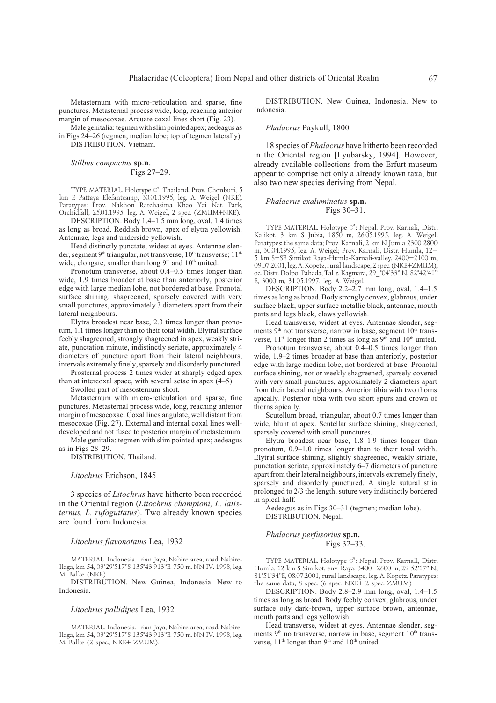Metasternum with micro-reticulation and sparse, fine punctures. Metasternal process wide, long, reaching anterior margin of mesocoxae. Arcuate coxal lines short (Fig. 23).

Male genitalia: tegmen with slim pointed apex; aedeagus as in Figs 24–26 (tegmen; median lobe; top of tegmen laterally). DISTRIBUTION. Vietnam.

Stilbus compactus sp.n. Figs 27-29.

TYPE MATERIAL. Holotype  $\circlearrowleft$ . Thailand. Prov. Chonburi, 5 km E Pattaya Elefantcamp, 30.01.1995, leg. A. Weigel (NKE).<br>Paratypes: Prov. Nakhon Ratchasima Khao Yai Nat. Park, Orchidfall, 25.01.1995, leg. A. Weigel, 2 spec. (ZMUM+NKE).

DESCRIPTION. Body 1.4-1.5 mm long, oval, 1.4 times as long as broad. Reddish brown, apex of elytra yellowish. Antennae, legs and underside yellowish.

Head distinctly punctate, widest at eyes. Antennae slender, segment 9<sup>th</sup> triangular, not transverse, 10<sup>th</sup> transverse; 11<sup>th</sup> wide, elongate, smaller than long 9<sup>th</sup> and 10<sup>th</sup> united.

Pronotum transverse, about 0.4–0.5 times longer than wide, 1.9 times broader at base than anteriorly, posterior edge with large median lobe, not bordered at base. Pronotal surface shining, shagreened, sparsely covered with very small punctures, approximately 3 diameters apart from their lateral neighbours.

Elytra broadest near base, 2.3 times longer than pronotum, 1.1 times longer than to their total width. Elytral surface feebly shagreened, strongly shagreened in apex, weakly striate, punctation minute, indistinctly seriate, approximately 4 diameters of puncture apart from their lateral neighbours, intervals extremely finely, sparsely and disorderly punctured.

Prosternal process 2 times wider at sharply edged apex than at intercoxal space, with several setae in apex  $(4-5)$ .

Swollen part of mesosternum short.

Metasternum with micro-reticulation and sparse, fine punctures. Metasternal process wide, long, reaching anterior margin of mesocoxae. Coxal lines angulate, well distant from mesocoxae (Fig. 27). External and internal coxal lines welldeveloped and not fused to posterior margin of metasternum.

Male genitalia: tegmen with slim pointed apex; aedeagus as in Figs 28-29.

DISTRIBUTION. Thailand.

#### Litochrus Erichson, 1845

3 species of *Litochrus* have hitherto been recorded in the Oriental region (Litochrus championi, L. latis*ternus, L. rufoguttatus*). Two already known species are found from Indonesia.

#### Litochrus flavonotatus Lea, 1932

MATERIAL. Indonesia. Irian Jaya, Nabire area, road Nabire-Ilaga, km 54, 03°29'517"S 135°43'913"E. 750 m. NN IV. 1998, leg. M Balke (NKE)

DISTRIBUTION. New Guinea, Indonesia. New to Indonesia.

#### Litochrus pallidipes Lea, 1932

MATERIAL. Indonesia. Irian Jaya, Nabire area, road Nabire-Ilaga, km 54, 03°29'517"S 135°43'913"E. 750 m. NN IV. 1998, leg. M. Balke (2 spec., NKE+ ZMUM).

DISTRIBUTION. New Guinea, Indonesia. New to Indonesia.

#### Phalacrus Paykull, 1800

18 species of Phalacrus have hitherto been recorded in the Oriental region [Lyubarsky, 1994]. However, already available collections from the Erfurt museum appear to comprise not only a already known taxa, but also two new species deriving from Nepal.

#### Phalacrus exaluminatus sp.n. Figs 30-31.

TYPE MATERIAL. Holotype  $\circlearrowleft$ : Nepal. Prov. Karnali. Distr. Kalikot, 3 km S Jubia, 1850 m, 26.05.1995, leg. A. Weigel. Paratypes: the same data; Prov. Karnali, 2 km N Jumla 2300 2800 m, 30.04.1995, leg. A. Weigel; Prov. Karnali, Distr. Humla, 12-5 km S-SE Simikot Raya-Humla-Karnali-valley, 2400-2100 m, 09.07.2001, leg. A. Kopetz, rural landscape, 2 spec. (NKE+ZMUM); oc. Distr. Dolpo, Pahada, Tal z. Kagmara, 29\_°04'33" N, 82°42'41" E, 3000 m, 31.05.1997, leg. A. Weigel.

DESCRIPTION. Body 2.2-2.7 mm long, oval, 1.4-1.5 times as long as broad. Body strongly convex, glabrous, under surface black, upper surface metallic black, antennae, mouth parts and legs black, claws yellowish.

Head transverse, widest at eyes. Antennae slender, segments 9<sup>th</sup> not transverse, narrow in base, segment 10<sup>th</sup> transverse, 11<sup>th</sup> longer than 2 times as long as 9<sup>th</sup> and 10<sup>th</sup> united.

Pronotum transverse, about 0.4-0.5 times longer than wide, 1.9–2 times broader at base than anteriorly, posterior edge with large median lobe, not bordered at base. Pronotal surface shining, not or weekly shagreened, sparsely covered with very small punctures, approximately 2 diameters apart from their lateral neighbours. Anterior tibia with two thorns apically. Posterior tibia with two short spurs and crown of thorns apically.

Scutellum broad, triangular, about 0.7 times longer than wide, blunt at apex. Scutellar surface shining, shagreened, sparsely covered with small punctures.

Elytra broadest near base,  $1.8-1.9$  times longer than pronotum, 0.9–1.0 times longer than to their total width. Elytral surface shining, slightly shagreened, weakly striate, punctation seriate, approximately 6–7 diameters of puncture apart from their lateral neighbours, intervals extremely finely, sparsely and disorderly punctured. A single sutural stria prolonged to 2/3 the length, suture very indistinctly bordered in anical half.

Aedeagus as in Figs 30–31 (tegmen; median lobe). DISTRIBUTION. Nepal.

#### Phalacrus perfusorius sp.n. Figs 32-33.

TYPE MATERIAL. Holotype  $\circlearrowleft$ : Nepal. Prov. Karnall, Distr. Humla, 12 km S Simikot, env. Raya, 3400-2600 m, 29°52'17" N, 81°51'34"E, 08.07.2001, rural landscape, leg. A. Kopetz. Paratypes: the same data, 8 spec. (6 spec. NKE+ 2 spec. ZMUM).

DESCRIPTION. Body 2.8-2.9 mm long, oval, 1.4-1.5 times as long as broad. Body feebly convex, glabrous, under surface oily dark-brown, upper surface brown, antennae, mouth parts and legs yellowish.

Head transverse, widest at eyes. Antennae slender, segments 9<sup>th</sup> no transverse, narrow in base, segment 10<sup>th</sup> transverse, 11<sup>th</sup> longer than 9<sup>th</sup> and 10<sup>th</sup> united.